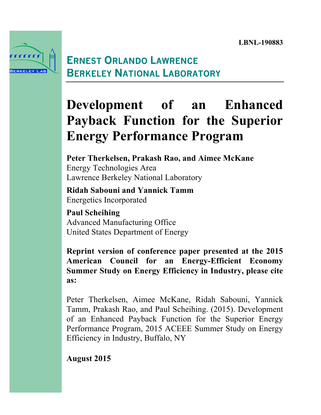**LBNL-190883**



# **ERNEST ORLANDO LAWRENCE BERKELEY NATIONAL LABORATORY**

# **Development of an Enhanced Payback Function for the Superior Energy Performance Program**

**Peter Therkelsen, Prakash Rao, and Aimee McKane** Energy Technologies Area Lawrence Berkeley National Laboratory

**Ridah Sabouni and Yannick Tamm** Energetics Incorporated

**Paul Scheihing** Advanced Manufacturing Office United States Department of Energy

**Reprint version of conference paper presented at the 2015 American Council for an Energy-Efficient Economy Summer Study on Energy Efficiency in Industry, please cite as:** 

Peter Therkelsen, Aimee McKane, Ridah Sabouni, Yannick Tamm, Prakash Rao, and Paul Scheihing. (2015). Development of an Enhanced Payback Function for the Superior Energy Performance Program, 2015 ACEEE Summer Study on Energy Efficiency in Industry, Buffalo, NY

**August 2015**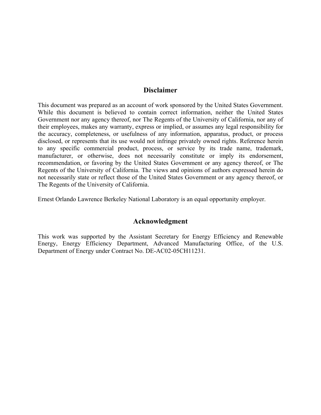# **Disclaimer**

This document was prepared as an account of work sponsored by the United States Government. While this document is believed to contain correct information, neither the United States Government nor any agency thereof, nor The Regents of the University of California, nor any of their employees, makes any warranty, express or implied, or assumes any legal responsibility for the accuracy, completeness, or usefulness of any information, apparatus, product, or process disclosed, or represents that its use would not infringe privately owned rights. Reference herein to any specific commercial product, process, or service by its trade name, trademark, manufacturer, or otherwise, does not necessarily constitute or imply its endorsement, recommendation, or favoring by the United States Government or any agency thereof, or The Regents of the University of California. The views and opinions of authors expressed herein do not necessarily state or reflect those of the United States Government or any agency thereof, or The Regents of the University of California.

Ernest Orlando Lawrence Berkeley National Laboratory is an equal opportunity employer.

# **Acknowledgment**

This work was supported by the Assistant Secretary for Energy Efficiency and Renewable Energy, Energy Efficiency Department, Advanced Manufacturing Office, of the U.S. Department of Energy under Contract No. DE-AC02-05CH11231.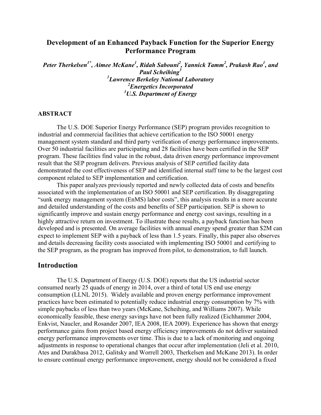# **Development of an Enhanced Payback Function for the Superior Energy Performance Program**

Peter Therkelsen<sup>1\*</sup>, Aimee McKane<sup>1</sup>, Ridah Sabouni<sup>2</sup>, Yannick Tamm<sup>2</sup>, Prakash Rao<sup>1</sup>, and *Paul Scheihing3 1 Lawrence Berkeley National Laboratory 2 Energetics Incorporated 3 U.S. Department of Energy* 

#### **ABSTRACT**

The U.S. DOE Superior Energy Performance (SEP) program provides recognition to industrial and commercial facilities that achieve certification to the ISO 50001 energy management system standard and third party verification of energy performance improvements. Over 50 industrial facilities are participating and 28 facilities have been certified in the SEP program. These facilities find value in the robust, data driven energy performance improvement result that the SEP program delivers. Previous analysis of SEP certified facility data demonstrated the cost effectiveness of SEP and identified internal staff time to be the largest cost component related to SEP implementation and certification.

This paper analyzes previously reported and newly collected data of costs and benefits associated with the implementation of an ISO 50001 and SEP certification. By disaggregating "sunk energy management system (EnMS) labor costs", this analysis results in a more accurate and detailed understanding of the costs and benefits of SEP participation. SEP is shown to significantly improve and sustain energy performance and energy cost savings, resulting in a highly attractive return on investment. To illustrate these results, a payback function has been developed and is presented. On average facilities with annual energy spend greater than \$2M can expect to implement SEP with a payback of less than 1.5 years. Finally, this paper also observes and details decreasing facility costs associated with implementing ISO 50001 and certifying to the SEP program, as the program has improved from pilot, to demonstration, to full launch.

#### **Introduction**

The U.S. Department of Energy (U.S. DOE) reports that the US industrial sector consumed nearly 25 quads of energy in 2014, over a third of total US end use energy consumption (LLNL 2015). Widely available and proven energy performance improvement practices have been estimated to potentially reduce industrial energy consumption by 7% with simple paybacks of less than two years (McKane, Scheihing, and Williams 2007). While economically feasible, these energy savings have not been fully realized (Eichhammer 2004, Enkvist, Naucler, and Rosander 2007, IEA 2008, IEA 2009). Experience has shown that energy performance gains from project based energy efficiency improvements do not deliver sustained energy performance improvements over time. This is due to a lack of monitoring and ongoing adjustments in response to operational changes that occur after implementation (Jeli et al. 2010, Ates and Durakbasa 2012, Galitsky and Worrell 2003, Therkelsen and McKane 2013). In order to ensure continual energy performance improvement, energy should not be considered a fixed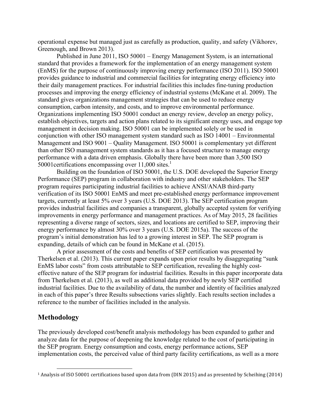operational expense but managed just as carefully as production, quality, and safety (Vikhorev, Greenough, and Brown 2013).

Published in June 2011, ISO 50001 – Energy Management System, is an international standard that provides a framework for the implementation of an energy management system (EnMS) for the purpose of continuously improving energy performance (ISO 2011). ISO 50001 provides guidance to industrial and commercial facilities for integrating energy efficiency into their daily management practices. For industrial facilities this includes fine-tuning production processes and improving the energy efficiency of industrial systems (McKane et al. 2009). The standard gives organizations management strategies that can be used to reduce energy consumption, carbon intensity, and costs, and to improve environmental performance. Organizations implementing ISO 50001 conduct an energy review, develop an energy policy, establish objectives, targets and action plans related to its significant energy uses, and engage top management in decision making. ISO 50001 can be implemented solely or be used in conjunction with other ISO management system standard such as ISO 14001 – Environmental Management and ISO 9001 – Quality Management. ISO 50001 is complementary yet different than other ISO management system standards as it has a focused structure to manage energy performance with a data driven emphasis. Globally there have been more than 3,500 ISO 50001 certifications encompassing over  $11,000$  sites.<sup>1</sup>

Building on the foundation of ISO 50001, the U.S. DOE developed the Superior Energy Performance (SEP) program in collaboration with industry and other stakeholders. The SEP program requires participating industrial facilities to achieve ANSI/ANAB third-party verification of its ISO 50001 EnMS and meet pre-established energy performance improvement targets, currently at least 5% over 3 years (U.S. DOE 2013). The SEP certification program provides industrial facilities and companies a transparent, globally accepted system for verifying improvements in energy performance and management practices. As of May 2015, 28 facilities representing a diverse range of sectors, sizes, and locations are certified to SEP, improving their energy performance by almost 30% over 3 years (U.S. DOE 2015a). The success of the program's initial demonstration has led to a growing interest in SEP. The SEP program is expanding, details of which can be found in McKane et al. (2015).

A prior assessment of the costs and benefits of SEP certification was presented by Therkelsen et al. (2013). This current paper expands upon prior results by disaggregating "sunk EnMS labor costs" from costs attributable to SEP certification, revealing the highly costeffective nature of the SEP program for industrial facilities. Results in this paper incorporate data from Therkelsen et al. (2013), as well as additional data provided by newly SEP certified industrial facilities. Due to the availability of data, the number and identity of facilities analyzed in each of this paper's three Results subsections varies slightly. Each results section includes a reference to the number of facilities included in the analysis.

# **Methodology**

 $\overline{a}$ 

The previously developed cost/benefit analysis methodology has been expanded to gather and analyze data for the purpose of deepening the knowledge related to the cost of participating in the SEP program. Energy consumption and costs, energy performance actions, SEP implementation costs, the perceived value of third party facility certifications, as well as a more

 $\overline{a}$ 

<sup>&</sup>lt;sup>1</sup> Analysis of ISO 50001 certifications based upon data from (DIN 2015) and as presented by Scheihing (2014)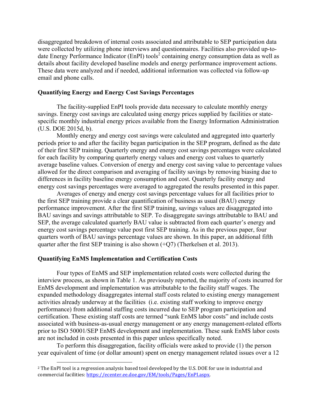disaggregated breakdown of internal costs associated and attributable to SEP participation data were collected by utilizing phone interviews and questionnaires. Facilities also provided up-todate Energy Performance Indicator (EnPI) tools<sup>2</sup> containing energy consumption data as well as details about facility developed baseline models and energy performance improvement actions. These data were analyzed and if needed, additional information was collected via follow-up email and phone calls.

#### **Quantifying Energy and Energy Cost Savings Percentages**

The facility-supplied EnPI tools provide data necessary to calculate monthly energy savings. Energy cost savings are calculated using energy prices supplied by facilities or statespecific monthly industrial energy prices available from the Energy Information Administration (U.S. DOE 2015d, b).

Monthly energy and energy cost savings were calculated and aggregated into quarterly periods prior to and after the facility began participation in the SEP program, defined as the date of their first SEP training. Quarterly energy and energy cost savings percentages were calculated for each facility by comparing quarterly energy values and energy cost values to quarterly average baseline values. Conversion of energy and energy cost saving value to percentage values allowed for the direct comparison and averaging of facility savings by removing biasing due to differences in facility baseline energy consumption and cost. Quarterly facility energy and energy cost savings percentages were averaged to aggregated the results presented in this paper.

Averages of energy and energy cost savings percentage values for all facilities prior to the first SEP training provide a clear quantification of business as usual (BAU) energy performance improvement. After the first SEP training, savings values are disaggregated into BAU savings and savings attributable to SEP. To disaggregate savings attributable to BAU and SEP, the average calculated quarterly BAU value is subtracted from each quarter's energy and energy cost savings percentage value post first SEP training. As in the previous paper, four quarters worth of BAU savings percentage values are shown. In this paper, an additional fifth quarter after the first SEP training is also shown (+Q7) (Therkelsen et al. 2013).

#### **Quantifying EnMS Implementation and Certification Costs**

 $\overline{a}$ 

 $\overline{a}$ 

Four types of EnMS and SEP implementation related costs were collected during the interview process, as shown in Table 1. As previously reported, the majority of costs incurred for EnMS development and implementation was attributable to the facility staff wages. The expanded methodology disaggregates internal staff costs related to existing energy management activities already underway at the facilities (i.e. existing staff working to improve energy performance) from additional staffing costs incurred due to SEP program participation and certification. These existing staff costs are termed "sunk EnMS labor costs" and include costs associated with business-as-usual energy management or any energy management-related efforts prior to ISO 50001/SEP EnMS development and implementation. These sunk EnMS labor costs are not included in costs presented in this paper unless specifically noted.

To perform this disaggregation, facility officials were asked to provide (1) the person ye ar equivalent of time (or dollar amount) spent on energy management related issues over a 12

<sup>&</sup>lt;sup>2</sup> The EnPI tool is a regression analysis based tool developed by the U.S. DOE for use in industrial and commercial facilities: https://ecenter.ee.doe.gov/EM/tools/Pages/EnPI.aspx.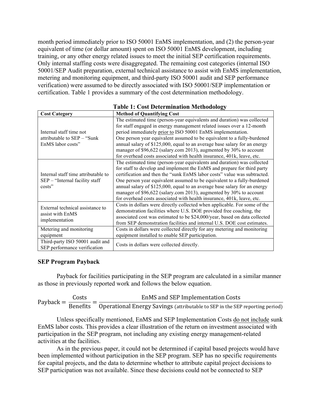month period immediately prior to ISO 50001 EnMS implementation, and (2) the person-year equivalent of time (or dollar amount) spent on ISO 50001 EnMS development, including training, or any other energy related issues to meet the initial SEP certification requirements. Only internal staffing costs were disaggregated. The remaining cost categories (internal ISO 50001/SEP Audit preparation, external technical assistance to assist with EnMS implementation, metering and monitoring equipment, and third-party ISO 50001 audit and SEP performance verification) were assumed to be directly associated with ISO 50001/SEP implementation or certification. Table 1 provides a summary of the cost determination methodology.

| <b>Cost Category</b>                                                            | <b>Method of Quantifying Cost</b>                                                                                                                                                                                                                                                                                                                                                                                                                                                                                                      |
|---------------------------------------------------------------------------------|----------------------------------------------------------------------------------------------------------------------------------------------------------------------------------------------------------------------------------------------------------------------------------------------------------------------------------------------------------------------------------------------------------------------------------------------------------------------------------------------------------------------------------------|
| Internal staff time not<br>attributable to SEP - "Sunk<br>EnMS labor costs"     | The estimated time (person-year equivalents and duration) was collected<br>for staff engaged in energy management related issues over a 12-month<br>period immediately prior to ISO 50001 EnMS implementation.<br>One person year equivalent assumed to be equivalent to a fully-burdened<br>annual salary of \$125,000, equal to an average base salary for an energy<br>manager of \$96,622 (salary.com 2013), augmented by 30% to account<br>for overhead costs associated with health insurance, 401k, leave, etc.                 |
| Internal staff time attributable to<br>SEP – "Internal facility staff<br>costs" | The estimated time (person-year equivalents and duration) was collected<br>for staff to develop and implement the EnMS and prepare for third party<br>certification and then the "sunk EnMS labor costs" value was subtracted.<br>One person year equivalent assumed to be equivalent to a fully-burdened<br>annual salary of \$125,000, equal to an average base salary for an energy<br>manager of \$96,622 (salary.com 2013), augmented by 30% to account<br>for overhead costs associated with health insurance, 401k, leave, etc. |
| External technical assistance to<br>assist with EnMS<br>implementation          | Costs in dollars were directly collected when applicable. For some of the<br>demonstration facilities where U.S. DOE provided free coaching, the<br>associated cost was estimated to be \$24,000/year, based on data collected<br>from SEP demonstration facilities and internal U.S. DOE cost estimates.                                                                                                                                                                                                                              |
| Metering and monitoring<br>equipment                                            | Costs in dollars were collected directly for any metering and monitoring<br>equipment installed to enable SEP participation.                                                                                                                                                                                                                                                                                                                                                                                                           |
| Third-party ISO 50001 audit and<br>SEP performance verification                 | Costs in dollars were collected directly.                                                                                                                                                                                                                                                                                                                                                                                                                                                                                              |

#### **Table 1: Cost Determination Methodology**

#### **SEP Program Payback**

Payback for facilities participating in the SEP program are calculated in a similar manner as those in previously reported work and follows the below equation.

\n
$$
\text{Payback} = \frac{\text{Costs}}{\text{Benefits}} = \frac{\text{EnMS and SEP Implementation Costs}}{\text{Operational Energy Savings (attribute to SEP in the SEP reporting period)}}
$$
\n

Unless specifically mentioned, EnMS and SEP Implementation Costs do not include sunk EnMS labor costs. This provides a clear illustration of the return on investment associated with participation in the SEP program, not including any existing energy management-related activities at the facilities.

As in the previous paper, it could not be determined if capital based projects would have been implemented without participation in the SEP program. SEP has no specific requirements for capital projects, and the data to determine whether to attribute capital project decisions to SEP participation was not available. Since these decisions could not be connected to SEP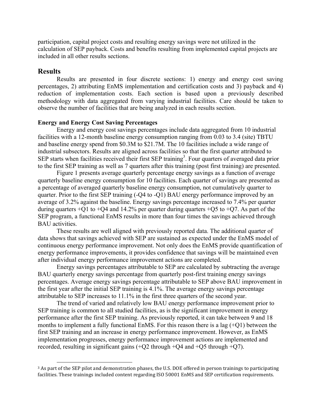participation, capital project costs and resulting energy savings were not utilized in the calculation of SEP payback. Costs and benefits resulting from implemented capital projects are included in all other results sections.

#### **Results**

 $\overline{a}$ 

Results are presented in four discrete sections: 1) energy and energy cost saving percentages, 2) attributing EnMS implementation and certification costs and 3) payback and 4) reduction of implementation costs. Each section is based upon a previously described methodology with data aggregated from varying industrial facilities. Care should be taken to observe the number of facilities that are being analyzed in each results section.

#### **Energy and Energy Cost Saving Percentages**

Energy and energy cost savings percentages include data aggregated from 10 industrial facilities with a 12-month baseline energy consumption ranging from 0.03 to 3.4 (site) TBTU and baseline energy spend from \$0.3M to \$21.7M. The 10 facilities include a wide range of industrial subsectors. Results are aligned across facilities so that the first quarter attributed to SEP starts when facilities received their first SEP training<sup>3</sup>. Four quarters of averaged data prior to the first SEP training as well as 7 quarters after this training (post first training) are presented.

Figure 1 presents average quarterly percentage energy savings as a function of average quarterly baseline energy consumption for 10 facilities. Each quarter of savings are presented as a percentage of averaged quarterly baseline energy consumption, not cumulatively quarter to quarter. Prior to the first SEP training (-Q4 to -Q1) BAU energy performance improved by an average of 3.2% against the baseline. Energy savings percentage increased to 7.4% per quarter during quarters  $+Q1$  to  $+Q4$  and 14.2% per quarter during quarters  $+Q5$  to  $+Q7$ . As part of the SEP program, a functional EnMS results in more than four times the savings achieved through BAU activities.

These results are well aligned with previously reported data. The additional quarter of data shows that savings achieved with SEP are sustained as expected under the EnMS model of continuous energy performance improvement. Not only does the EnMS provide quantification of energy performance improvements, it provides confidence that savings will be maintained even after individual energy performance improvement actions are completed.

Energy savings percentages attributable to SEP are calculated by subtracting the average BAU quarterly energy savings percentage from quarterly post-first training energy savings percentages. Average energy savings percentage attributable to SEP above BAU improvement in the first year after the initial SEP training is 4.1%. The average energy savings percentage attributable to SEP increases to 11.1% in the first three quarters of the second year.

The trend of varied and relatively low BAU energy performance improvement prior to SEP training is common to all studied facilities, as is the significant improvement in energy performance after the first SEP training. As previously reported, it can take between 9 and 18 months to implement a fully functional EnMS. For this reason there is a lag (+Q1) between the first SEP training and an increase in energy performance improvement. However, as EnMS implementation progresses, energy performance improvement actions are implemented and recorded, resulting in significant gains (+Q2 through +Q4 and +Q5 through +Q7).

 $\overline{a}$ 

<sup>&</sup>lt;sup>3</sup> As part of the SEP pilot and demonstration phases, the U.S. DOE offered in person trainings to participating facilities. These trainings included content regarding ISO 50001 EnMS and SEP certification requirements.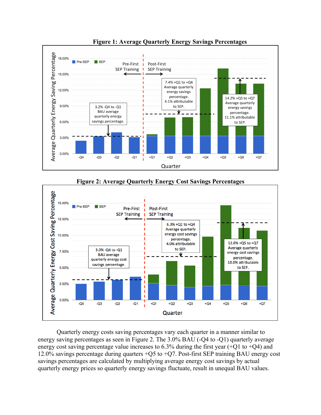

**Figure 1: Average Quarterly Energy Savings Percentages** 





Quarterly energy costs saving percentages vary each quarter in a manner similar to energy saving percentages as seen in Figure 2. The 3.0% BAU (-Q4 to -Q1) quarterly average energy cost saving percentage value increases to  $6.3\%$  during the first year (+Q1 to +Q4) and 12.0% savings percentage during quarters +Q5 to +Q7. Post-first SEP training BAU energy cost savings percentages are calculated by multiplying average energy cost savings by actual quarterly energy prices so quarterly energy savings fluctuate, result in unequal BAU values.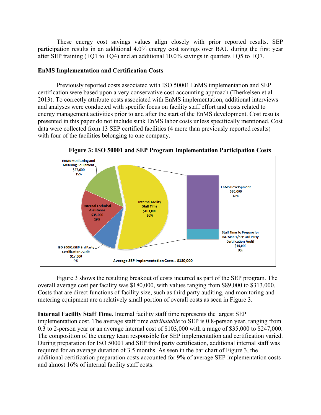These energy cost savings values align closely with prior reported results. SEP participation results in an additional 4.0% energy cost savings over BAU during the first year after SEP training  $(+O1 \text{ to } +O4)$  and an additional 10.0% savings in quarters  $+O5 \text{ to } +O7$ .

#### **EnMS Implementation and Certification Costs**

Previously reported costs associated with ISO 50001 EnMS implementation and SEP certification were based upon a very conservative cost-accounting approach (Therkelsen et al. 2013). To correctly attribute costs associated with EnMS implementation, additional interviews and analyses were conducted with specific focus on facility staff effort and costs related to energy management activities prior to and after the start of the EnMS development. Cost results presented in this paper do not include sunk EnMS labor costs unless specifically mentioned. Cost data were collected from 13 SEP certified facilities (4 more than previously reported results) with four of the facilities belonging to one company.



**Figure 3: ISO 50001 and SEP Program Implementation Participation Costs** 

Figure 3 shows the resulting breakout of costs incurred as part of the SEP program. The overall average cost per facility was \$180,000, with values ranging from \$89,000 to \$313,000. Costs that are direct functions of facility size, such as third party auditing, and monitoring and metering equipment are a relatively small portion of overall costs as seen in Figure 3.

**Internal Facility Staff Time.** Internal facility staff time represents the largest SEP implementation cost. The average staff time *attributable* to SEP is 0.8-person year, ranging from 0.3 to 2-person year or an average internal cost of \$103,000 with a range of \$35,000 to \$247,000. The composition of the energy team responsible for SEP implementation and certification varied. During preparation for ISO 50001 and SEP third party certification, additional internal staff was required for an average duration of 3.5 months. As seen in the bar chart of Figure 3, the additional certification preparation costs accounted for 9% of average SEP implementation costs and almost 16% of internal facility staff costs.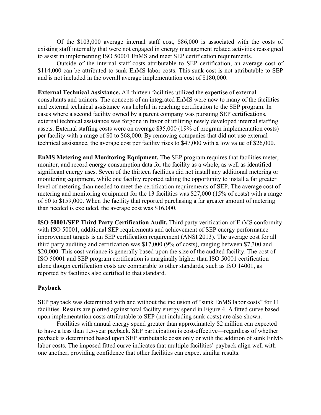Of the \$103,000 average internal staff cost, \$86,000 is associated with the costs of existing staff internally that were not engaged in energy management related activities reassigned to assist in implementing ISO 50001 EnMS and meet SEP certification requirements.

Outside of the internal staff costs attributable to SEP certification, an average cost of \$114,000 can be attributed to sunk EnMS labor costs. This sunk cost is not attributable to SEP and is not included in the overall average implementation cost of \$180,000.

**External Technical Assistance.** All thirteen facilities utilized the expertise of external consultants and trainers. The concepts of an integrated EnMS were new to many of the facilities and external technical assistance was helpful in reaching certification to the SEP program. In cases where a second facility owned by a parent company was pursuing SEP certifications, external technical assistance was forgone in favor of utilizing newly developed internal staffing assets. External staffing costs were on average \$35,000 (19% of program implementation costs) per facility with a range of \$0 to \$68,000. By removing companies that did not use external technical assistance, the average cost per facility rises to \$47,000 with a low value of \$26,000.

**EnMS Metering and Monitoring Equipment.** The SEP program requires that facilities meter, monitor, and record energy consumption data for the facility as a whole, as well as identified significant energy uses. Seven of the thirteen facilities did not install any additional metering or monitoring equipment, while one facility reported taking the opportunity to install a far greater level of metering than needed to meet the certification requirements of SEP. The average cost of metering and monitoring equipment for the 13 facilities was \$27,000 (15% of costs) with a range of \$0 to \$159,000. When the facility that reported purchasing a far greater amount of metering than needed is excluded, the average cost was \$16,000.

**ISO 50001/SEP Third Party Certification Audit.** Third party verification of EnMS conformity with ISO 50001, additional SEP requirements and achievement of SEP energy performance improvement targets is an SEP certification requirement (ANSI 2013). The average cost for all third party auditing and certification was \$17,000 (9% of costs), ranging between \$7,300 and \$20,000. This cost variance is generally based upon the size of the audited facility. The cost of ISO 50001 and SEP program certification is marginally higher than ISO 50001 certification alone though certification costs are comparable to other standards, such as ISO 14001, as reported by facilities also certified to that standard.

# **Payback**

SEP payback was determined with and without the inclusion of "sunk EnMS labor costs" for 11 facilities. Results are plotted against total facility energy spend in Figure 4. A fitted curve based upon implementation costs attributable to SEP (not including sunk costs) are also shown.

Facilities with annual energy spend greater than approximately \$2 million can expected to have a less than 1.5-year payback. SEP participation is cost-effective—regardless of whether payback is determined based upon SEP attributable costs only or with the addition of sunk EnMS labor costs. The imposed fitted curve indicates that multiple facilities' payback align well with one another, providing confidence that other facilities can expect similar results.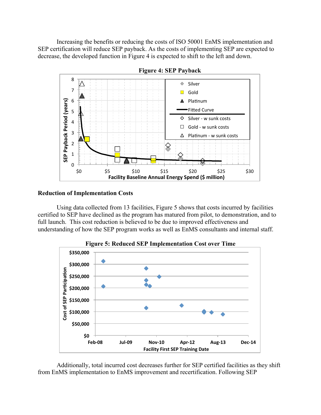Increasing the benefits or reducing the costs of ISO 50001 EnMS implementation and SEP certification will reduce SEP payback. As the costs of implementing SEP are expected to decrease, the developed function in Figure 4 is expected to shift to the left and down.



**Figure 4: SEP Payback**

#### **Reduction of Implementation Costs**

Using data collected from 13 facilities, Figure 5 shows that costs incurred by facilities certified to SEP have declined as the program has matured from pilot, to demonstration, and to full launch. This cost reduction is believed to be due to improved effectiveness and understanding of how the SEP program works as well as EnMS consultants and internal staff.



**Figure 5: Reduced SEP Implementation Cost over Time**

Additionally, total incurred cost decreases further for SEP certified facilities as they shift from EnMS implementation to EnMS improvement and recertification. Following SEP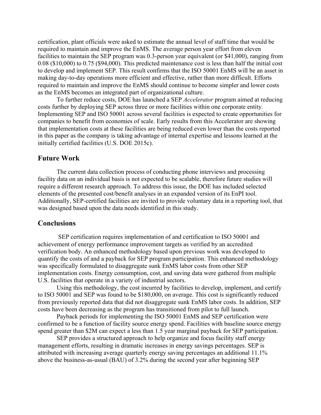certification, plant officials were asked to estimate the annual level of staff time that would be required to maintain and improve the EnMS. The average person year effort from eleven facilities to maintain the SEP program was 0.3-person year equivalent (or \$41,000), ranging from 0.08 (\$10,000) to 0.75 (\$94,000). This predicted maintenance cost is less than half the initial cost to develop and implement SEP. This result confirms that the ISO 50001 EnMS will be an asset in making day-to-day operations more efficient and effective, rather than more difficult. Efforts required to maintain and improve the EnMS should continue to become simpler and lower costs as the EnMS becomes an integrated part of organizational culture.

To further reduce costs, DOE has launched a SEP *Accelerator* program aimed at reducing costs further by deploying SEP across three or more facilities within one corporate entity. Implementing SEP and ISO 50001 across several facilities is expected to create opportunities for companies to benefit from economies of scale. Early results from this Accelerator are showing that implementation costs at these facilities are being reduced even lower than the costs reported in this paper as the company is taking advantage of internal expertise and lessons learned at the initially certified facilities (U.S. DOE 2015c).

#### **Future Work**

The current data collection process of conducting phone interviews and processing facility data on an individual basis is not expected to be scalable, therefore future studies will require a different research approach. To address this issue, the DOE has included selected elements of the presented cost/benefit analyses in an expanded version of its EnPI tool. Additionally, SEP-certified facilities are invited to provide voluntary data in a reporting tool, that was designed based upon the data needs identified in this study.

#### **Conclusions**

 SEP certification requires implementation of and certification to ISO 50001 and achievement of energy performance improvement targets as verified by an accredited verification body. An enhanced methodology based upon previous work was developed to quantify the costs of and a payback for SEP program participation. This enhanced methodology was specifically formulated to disaggregate sunk EnMS labor costs from other SEP implementation costs. Energy consumption, cost, and saving data were gathered from multiple U.S. facilities that operate in a variety of industrial sectors.

Using this methodology, the cost incurred by facilities to develop, implement, and certify to ISO 50001 and SEP was found to be \$180,000, on average. This cost is significantly reduced from previously reported data that did not disaggregate sunk EnMS labor costs. In addition, SEP costs have been decreasing as the program has transitioned from pilot to full launch.

Payback periods for implementing the ISO 50001 EnMS and SEP certification were confirmed to be a function of facility source energy spend. Facilities with baseline source energy spend greater than \$2M can expect a less than 1.5 year marginal payback for SEP participation.

SEP provides a structured approach to help organize and focus facility staff energy management efforts, resulting in dramatic increases in energy savings percentages. SEP is attributed with increasing average quarterly energy saving percentages an additional 11.1% above the business-as-usual (BAU) of 3.2% during the second year after beginning SEP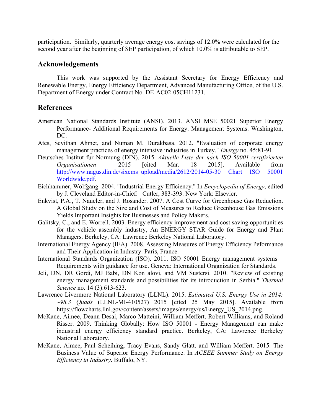participation. Similarly, quarterly average energy cost savings of 12.0% were calculated for the second year after the beginning of SEP participation, of which 10.0% is attributable to SEP.

# **Acknowledgements**

This work was supported by the Assistant Secretary for Energy Efficiency and Renewable Energy, Energy Efficiency Department, Advanced Manufacturing Office, of the U.S. Department of Energy under Contract No. DE-AC02-05CH11231.

# **References**

- American National Standards Institute (ANSI). 2013. ANSI MSE 50021 Superior Energy Performance- Additional Requirements for Energy. Management Systems. Washington, DC.
- Ates, Seyithan Ahmet, and Numan M. Durakbasa. 2012. "Evaluation of corporate energy management practices of energy intensive industries in Turkey." *Energy* no. 45:81-91.
- Deutsches Institut fur Normung (DIN). 2015. *Aktuelle Liste der nach ISO 50001 zertifizierten Organisationen* 2015 [cited Mar. 18 2015]. Available from http://www.nagus.din.de/sixcms\_upload/media/2612/2014-05-30 Chart ISO 50001 Worldwide.pdf.
- Eichhammer, Wolfgang. 2004. "Industrial Energy Efficiency." In *Encyclopedia of Energy*, edited by J. Cleveland Editor-in-Chief: Cutler, 383-393. New York: Elsevier.
- Enkvist, P.A., T. Naucler, and J. Rosander. 2007. A Cost Curve for Greenhouse Gas Reduction. A Global Study on the Size and Cost of Measures to Reduce Greenhouse Gas Emissions Yields Important Insights for Businesses and Policy Makers.
- Galitsky, C., and E. Worrell. 2003. Energy efficiency improvement and cost saving opportunities for the vehicle assembly industry, An ENERGY STAR Guide for Energy and Plant Managers. Berkeley, CA: Lawrence Berkeley National Laboratory.
- International Energy Agency (IEA). 2008. Assessing Measures of Energy Efficiency Peformance and Their Application in Industry. Paris, France.
- International Standards Organization (ISO). 2011. ISO 50001 Energy management systems Requirements with guidance for use. Geneva: International Organization for Standards.
- Jeli, DN, DR Gordi, MJ Babi, DN Kon alovi, and VM Sustersi. 2010. "Review of existing energy management standards and possibilities for its introduction in Serbia." *Thermal Science* no. 14 (3):613-623.
- Lawrence Livermore National Laboratory (LLNL). 2015. *Estimated U.S. Energy Use in 2014: ~98.3 Quads* (LLNL-MI-410527) 2015 [cited 25 May 2015]. Available from https://flowcharts.llnl.gov/content/assets/images/energy/us/Energy\_US\_2014.png.
- McKane, Aimee, Deann Desai, Marco Matteini, William Meffert, Robert Williams, and Roland Risser. 2009. Thinking Globally: How ISO 50001 - Energy Management can make industrial energy efficiency standard practice. Berkeley, CA: Lawrence Berkeley National Laboratory.
- McKane, Aimee, Paul Scheihing, Tracy Evans, Sandy Glatt, and William Meffert. 2015. The Business Value of Superior Energy Performance. In *ACEEE Summer Study on Energy Efficiency in Industry*. Buffalo, NY.